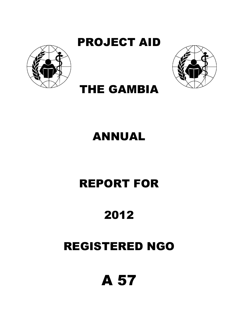

PROJECT AID



## THE GAMBIA

## ANNUAL

## REPORT FOR

## 2012

## REGISTERED NGO

# A 57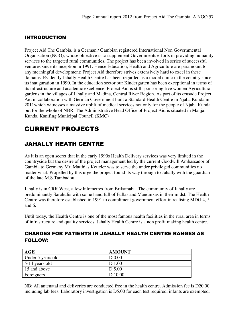#### INTRODUCTION

Project Aid The Gambia, is a German / Gambian registered International Non Governmental Organisation (NGO), whose objective is to supplement Governments efforts in providing humanity services to the targeted rural communities. The project has been involved in series of successful ventures since its inception in 1991. Hence Education, Health and Agriculture are paramount to any meaningful development; Project Aid therefore strives extensively hard to excel in these domains. Evidently Jahally Health Centre has been regarded as a model clinic in the country since its inauguration in 1990. In the education sector our Kindergarten has been exceptional in terms of its infrastructure and academic excellence. Project Aid is still sponsoring five women Agricultural gardens in the villages of Jahally and Madina, Central River Region. As part of its crusade Project Aid in collaboration with German Government built a Standard Health Centre in Njaba Kunda in 2011which witnesses a massive uplift of medical services not only for the people of Njaba Kunda but for the whole of NBR. The Administrative Head Office of Project Aid is situated in Manjai Kunda, Kanifing Municipal Council (KMC)

## CURRENT PROJECTS

### JAHALLY HEATH CENTRE

As it is an open secret that in the early 1990s Health Delivery services was very limited in the countryside but the desire of the project management led by the current Goodwill Ambassador of Gambia to Germany Mr, Matthias Ketteler was to serve the under privileged communities no matter what. Propelled by this urge the project found its way through to Jahally with the guardian of the late M.S.Tambadou.

Jahally is in CRR West, a few kilometres from Brikamaba. The community of Jahally are predominantly Sarahulis with some hand full of Fullas and Mandinkas in their midst. The Health Centre was therefore established in 1991 to compliment government effort in realising MDG 4, 5 and 6.

Until today, the Health Centre is one of the most famous health facilities in the rural area in terms of infrastructure and quality services. Jahally Health Centre is a non profit making health centre.

#### CHARGES FOR PATIENTS IN JAHALLY HEALTH CENTRE RANGES AS FOLLOW:

| AGE               | <b>AMOUNT</b>     |
|-------------------|-------------------|
| Under 5 years old | D <sub>0.00</sub> |
| $5-14$ years old  | D 1.00            |
| 15 and above      | D 5.00            |
| Foreigners        | D 10.00           |

NB: All antenatal and deliveries are conducted free in the health centre. Admission fee is D20.00 including lab fees. Laboratory investigation is D5.00 for each test required, infants are exempted.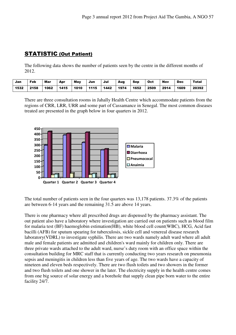### STATISTIC (Out Patient)

The following data shows the number of patients seen by the centre in the different months of 2012.

| Jan  | Feb  | Mar  | Apr  | <b>May</b> | Jun  | Jul  | Aug  | Sep  | Oct  | <b>Nov</b> | <b>Dec</b> | <b>Total</b> |
|------|------|------|------|------------|------|------|------|------|------|------------|------------|--------------|
| 1532 | 2158 | 1062 | 1415 | 1010       | 1115 | 1442 | 1974 | 1652 | 2509 | 2914       | 1609       | 20392        |

There are three consultation rooms in Jahally Health Centre which accommodate patients from the regions of CRR, LRR, URR and some part of Cassamance in Senegal. The most common diseases treated are presented in the graph below in four quarters in 2012.



The total number of patients seen in the four quarters was 13,178 patients. 37.3% of the patients are between 6-14 years and the remaining 31.5 are above 14 years.

There is one pharmacy where all prescribed drugs are dispensed by the pharmacy assistant. The out patient also have a laboratory where investigation are carried out on patients such as blood film for malaria test (BF) haemoglobin estimation(HB), white blood cell count(WBC), HCG, Acid fast bacilli (AFB) for sputum spearing for tuberculosis, sickle cell and venereal disease research laboratory(VDRL) to investigate syphilis. There are two wards namely adult ward where all adult male and female patients are admitted and children's ward mainly for children only. There are three private wards attached to the adult ward, nurse's duty room with an office space within the consultation building for MRC staff that is currently conducting two years research on pneumonia sepsis and meningitis in children less than five years of age. The two wards have a capacity of nineteen and eleven beds respectively. There are two flush toilets and two showers in the former and two flush toilets and one shower in the later. The electricity supply in the health centre comes from one big source of solar energy and a borehole that supply clean pipe born water to the entire facility 24/7.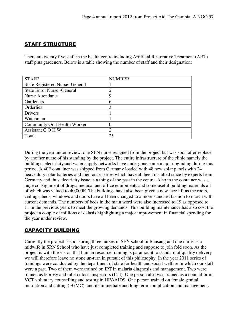#### STAFF STRUCTURE

There are twenty five staff in the health centre including Artificial Restorative Treatment (ART) staff plus gardeners. Below is a table showing the number of staff and their designation:

| <b>STAFF</b>                           | <b>NUMBER</b> |
|----------------------------------------|---------------|
| <b>State Registered Nurse- General</b> |               |
| <b>State Enrol Nurse - General</b>     | ∍             |
| <b>Nurse Attendants</b>                | 9             |
| Gardeners                              | 6             |
| Orderlies                              | 3             |
| Drivers                                |               |
| Watchman                               |               |
| <b>Community Oral Health Worker</b>    |               |
| Assistant COHW                         | 2             |
| Total                                  | 25            |

During the year under review, one SEN nurse resigned from the project but was soon after replace by another nurse of his standing by the project. The entire infrastructure of the clinic namely the buildings, electricity and water supply networks have undergone some major upgrading during this period. A 40F container was shipped from Germany loaded with 48 new solar panels with 24 heave duty solar batteries and their accessories which have all been installed since by experts from Germany and thus electricity issue is a thing of the past in the centre. Also in the container was a huge consignment of drugs, medical and office equipments and some useful building materials all of which was valued to 40,000E. The buildings have also been given a new face lift as the roofs, ceilings, beds, windows and doors have all been changed to a more standard fashion to march with current demands. The numbers of beds in the main word were also increased to 19 as opposed to 11 in the previous years to meet the growing demands. This building maintenance has also cost the project a couple of millions of dalasis highlighting a major improvement in financial spending for the year under review.

#### CAPACITY BUILDING

Currently the project is sponsoring three nurses in SEN school in Bansang and one nurse as a midwife in SRN School who have just completed training and suppose to join fold soon. As the project is with the vision that human resource training is paramount to standard of quality delivery we will therefore leave no stone un-turn in pursuit of this philosophy. In the year 2011 series of trainings were conducted by the department of state for health and social welfare in which our staff were a part. Two of them were trained on IPT in malaria diagnosis and management. Two were trained as leprosy and tuberculosis inspectors (LTI). One person also was trained as a councillor in VCT voluntary counselling and testing in HIV/AIDS. One person trained on female genital mutilation and cutting (FGMC), and its immediate and long term complication and management.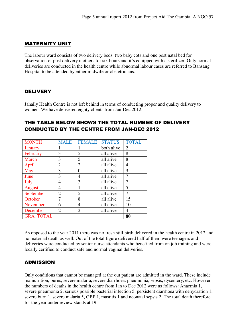#### MATERNITY UNIT

The labour ward consists of two delivery beds, two baby cots and one post natal bed for observation of post delivery mothers for six hours and it's equipped with a sterilizer. Only normal deliveries are conducted in the health centre while abnormal labour cases are referred to Bansang Hospital to be attended by either midwife or obstetricians.

#### **DELIVERY**

Jahally Health Centre is not left behind in terms of conducting proper and quality delivery to women. We have delivered eighty clients from Jan-Dec 2012.

#### THE TABLE BELOW SHOWS THE TOTAL NUMBER OF DELIVERY CONDUCTED BY THE CENTRE FROM JAN-DEC 2012

| <b>MONTH</b>      | <b>MALE</b>    | <b>FEMALE</b>  | <b>STATUS</b> | <b>TOTAL</b>   |
|-------------------|----------------|----------------|---------------|----------------|
| <b>January</b>    |                | 1              | both alive    | $\overline{2}$ |
| February          | 3              | 5              | all alive     | 8              |
| March             | 3              | 5              | all alive     | 8              |
| April             | $\overline{2}$ | $\overline{2}$ | all alive     | 4              |
| May               | 3              | 0              | all alive     | 3              |
| June              | 3              | 4              | all alive     | 7              |
| July              | 4              | 3              | all alive     |                |
| August            | 4              |                | all alive     | 5              |
| September         | $\overline{2}$ | 5              | all alive     | 7              |
| October           | 7              | 8              | all alive     | 15             |
| November          | 6              | $\overline{4}$ | all alive     | 10             |
| December          | $\overline{2}$ | $\overline{2}$ | all alive     | 4              |
| <b>GRA. TOTAL</b> |                |                |               | 80             |

As opposed to the year 2011 there was no fresh still birth delivered in the health centre in 2012 and no maternal death as well. Out of the total figure delivered half of them were teenagers and deliveries were conducted by senior nurse attendants who benefited from on job training and were locally certified to conduct safe and normal vaginal deliveries.

#### ADMISSION

Only conditions that cannot be managed at the out patient are admitted in the ward. These include malnutrition, burns, severe malaria, severe diarrhoea, pneumonia, sepsis, dysentery, etc. However the numbers of deaths in the health centre from Jan to Dec 2012 were as follows: Anaemia 1, severe pneumonia 2, serious possible bacterial infection 5, persistent diarrhoea with dehydration 1, severe burn 1, severe malaria 5, GBP 1, mastitis 1 and neonatal sepsis 2. The total death therefore for the year under review stands at 19.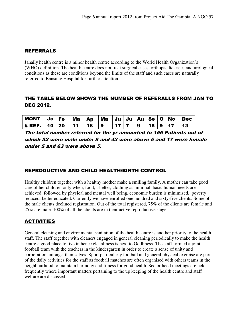#### REFERRALS

Jahally health centre is a minor health centre according to the World Health Organization's (WHO) definition. The health centre does not treat surgical cases, orthopaedic cases and urological conditions as these are conditions beyond the limits of the staff and such cases are naturally referred to Bansang Hospital for further attention.

#### THE TABLE BELOW SHOWS THE NUMBER OF REFERALLS FROM JAN TO DEC 2012.

| MONT $Ja$ Fe $Ma$ $Ap$ $Ma$ $Ju$ $Ju$ $Au$ $Se$ $O$ $No$ $Dec$ |  |  |  |  |  |  |
|----------------------------------------------------------------|--|--|--|--|--|--|
| # REF.   10   20   11   18   9   17   7   9   15   9   17   13 |  |  |  |  |  |  |

The total number referred for the yr amounted to 155 Patients out of which 32 were male under 5 and 43 were above 5 and 17 were female under 5 and 63 were above 5.

#### REPRODUCTIVE AND CHILD HEALTH/BIRTH CONTROL

Healthy children together with a healthy mother make a smiling family. A mother can take good care of her children only when, food, shelter, clothing as minimal basic human needs are achieved followed by physical and mental well being, economic burden is minimised, poverty reduced, better educated. Currently we have enrolled one hundred and sixty-five clients. Some of the male clients declined registration. Out of the total registered, 75% of the clients are female and 25% are male. 100% of all the clients are in their active reproductive stage.

#### ACTIVITIES

General cleaning and environmental sanitation of the health centre is another priority to the health staff. The staff together with cleaners engaged in general cleaning periodically to make the health centre a good place to live in hence cleanliness is next to Godliness. The staff formed a joint football team with the teachers in the kindergarten in order to create a sense of unity and corporation amongst themselves. Sport particularly football and general physical exercise are part of the daily activities for the staff as football matches are often organised with others teams in the neighbourhood to maintain harmony and fitness for good health. Sector head meetings are held frequently where important matters pertaining to the up keeping of the health centre and staff welfare are discussed.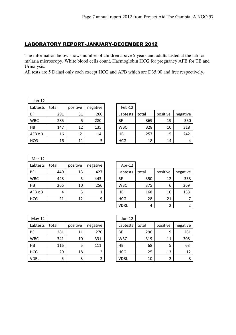#### LABORATORY REPORT-JANUARY-DECEMBER 2012

The information below shows number of children above 5 years and adults tasted at the lab for malaria microscopy. White blood cells count, Haemoglobin HCG for pregnancy AFB for TB and Urinalysis.

All tests are 5 Dalasi only each except HCG and AFB which are D35.00 and free respectively.

| $Jan-12$       |       |          |          |            |
|----------------|-------|----------|----------|------------|
| Labtests       | total | positive | negative | Feb-12     |
| ВF             | 291   | 31       | 260      | Labtests   |
| <b>WBC</b>     | 285   | 5        | 280      | ΒF         |
| НB             | 147   | 12       | 135      | <b>WBC</b> |
| $AFB \times 3$ | 16    | 2        | 14       | НB         |
| <b>HCG</b>     | 16    | 11       | 5        | HCG        |

| Labtests   | total | positive | negative | Feb-12     |       |          |          |
|------------|-------|----------|----------|------------|-------|----------|----------|
| ΒF         | 291   | 31       | 260      | Labtests   | total | positive | negative |
| <b>WBC</b> | 285   | 5        | 280      | BF         | 369   | 19       | 350      |
| НB         | 147   | 12       | 135      | <b>WBC</b> | 328   | 10       | 318      |
| AFB x 3    | 16    | 2        | 14       | HB         | 257   | 15       | 242      |
| HCG        | 16    | 11       |          | <b>HCG</b> | 18    | 14       | 4        |

| $Mar-12$       |       |          |          |            |
|----------------|-------|----------|----------|------------|
| Labtests       | total | positive | negative | Apr-12     |
| BF             | 440   | 13       | 427      | Labtests   |
| <b>WBC</b>     | 448   | 5        | 443      | BF         |
| НB             | 266   | 10       | 256      | <b>WBC</b> |
| $AFB \times 3$ | 4     | 3        |          | НB         |
| <b>HCG</b>     | 21    | 12       | 9        | <b>HCG</b> |

| Labtests   | total | positive | negative | Apr-12      |       |          |          |
|------------|-------|----------|----------|-------------|-------|----------|----------|
| ΒF         | 440   | 13       | 427      | Labtests    | total | positive | negative |
| <b>WBC</b> | 448   | 5        | 443      | BF          | 350   | 12       | 338      |
| HB         | 266   | 10       | 256      | <b>WBC</b>  | 375   | 6        | 369      |
| AFB x 3    | 4     | 3        | 1        | HB          | 168   | 10       | 158      |
| <b>HCG</b> | 21    | 12       | 9        | <b>HCG</b>  | 28    | 21       |          |
|            |       |          |          | <b>VDRL</b> | 4     | 2        |          |

| $May-12$   |       |                      |     | $Jun-12$   |
|------------|-------|----------------------|-----|------------|
| Labtests   | total | positive<br>negative |     | Labtests   |
| BF         | 281   | 11                   | 270 | BF         |
| <b>WBC</b> | 341   | 10                   | 331 | <b>WBC</b> |
| HB         | 116   | 5                    | 111 | HB         |
| <b>HCG</b> | 20    | 18                   | 2   | <b>HCG</b> |
| VDRL       | 5     | 3                    | 2   | VDRL       |

| $May-12$   |       |          |          | Jun-12      |       |          |          |
|------------|-------|----------|----------|-------------|-------|----------|----------|
| Labtests   | total | positive | negative | Labtests    | total | positive | negative |
| ΒF         | 281   | 11       | 270      | <b>BF</b>   | 290   | 9        | 281      |
| <b>WBC</b> | 341   | 10       | 331      | <b>WBC</b>  | 319   | 11       | 308      |
| HB         | 116   | 5        | 111      | HB          | 68    | 5        | 63       |
| HCG        | 20    | 18       | 2        | <b>HCG</b>  | 25    | 13       | 12       |
| VDRL       | 5     | 3        | 2        | <b>VDRL</b> | 10    | ົ        | 8        |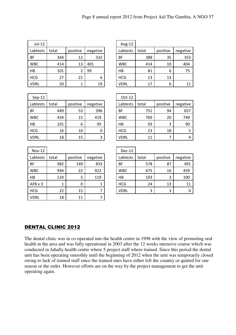| $Jul-12$    |       |          |          | Aug-12      |       |          |          |
|-------------|-------|----------|----------|-------------|-------|----------|----------|
| Labtests    | total | positive | negative | Labtests    | total | positive | negative |
| <b>BF</b>   | 344   | 12       | 332      | <b>BF</b>   | 388   | 35       | 353      |
| <b>WBC</b>  | 414   | 13       | 401      | <b>WBC</b>  | 414   | 10       | 404      |
| HB          | 101   | 2        | 99       | HB          | 81    | 6        | 75       |
| <b>HCG</b>  | 27    | 21       | 6        | <b>HCG</b>  | 13    | 13       |          |
| <b>VDRL</b> | 20    | 1        | 19       | <b>VDRL</b> | 17    | 6        | 11       |

| Aug-12      |       |          |          |
|-------------|-------|----------|----------|
| Labtests    | total | positive | negative |
| <b>BF</b>   | 388   | 35       | 353      |
| <b>WBC</b>  | 414   | 10       | 404      |
| HB          | 81    | 6        | 75       |
| <b>HCG</b>  | 13    | 13       |          |
| <b>VDRL</b> | 17    |          | 11       |

| $Sep-12$   |       |          |          | $Oct-12$   |
|------------|-------|----------|----------|------------|
| Labtests   | total | positive | negative | Labtests   |
| BF         | 449   | 53       | 396      | BF         |
| <b>WBC</b> | 434   | 15       | 419      | <b>WBC</b> |
| HB         | 101   | 6        | 95       | НB         |
| <b>HCG</b> | 16    | 16       | 0        | <b>HCG</b> |
| VDRL       | 18    | 15       | 3        | VDRL       |

| $Sep-12$    |       |          |             | Oct-12      |       |          |          |
|-------------|-------|----------|-------------|-------------|-------|----------|----------|
| Labtests    | total | positive | negative    | Labtests    | total | positive | negative |
| ΒF          | 449   | 53       | 396         | <b>BF</b>   | 751   | 94       | 657      |
| <b>WBC</b>  | 434   | 15       | 419         | <b>WBC</b>  | 769   | 20       | 749      |
| HB          | 101   | 6        | 95          | HB          | 93    | 3        | 90       |
| HCG         | 16    | 16       | $\mathbf 0$ | <b>HCG</b>  | 23    | 18       |          |
| <b>VDRL</b> | 18    | 15       | 3           | <b>VDRL</b> | 11    | 7        | 4        |

| <b>Nov-12</b>  |       |          |          | Dec-12      |       |          |             |
|----------------|-------|----------|----------|-------------|-------|----------|-------------|
| Labtests       | total | positive | negative | Labtests    | total | positive | negative    |
| <b>BF</b>      | 982   | 149      | 833      | <b>BF</b>   | 578   | 87       | 491         |
| <b>WBC</b>     | 944   | 22       | 922      | <b>WBC</b>  | 475   | 16       | 459         |
| HB             | 124   | 5        | 119      | HB          | 103   | 3        | 100         |
| $AFB \times 3$ |       | 0        | 1        | <b>HCG</b>  | 24    | 13       | 11          |
| <b>HCG</b>     | 22    | 15       | 7        | <b>VDRL</b> | 3     | 3        | $\mathbf 0$ |
| <b>VDRL</b>    | 18    | 11       |          |             |       |          |             |

| $Nov-12$   |       |          |          | $Dec-12$    |              |          |          |
|------------|-------|----------|----------|-------------|--------------|----------|----------|
| Labtests   | total | positive | negative | Labtests    | total        | positive | negative |
| ΒF         | 982   | 149      | 833      | <b>BF</b>   | 578          | 87       | 491      |
| <b>WBC</b> | 944   | 22       | 922      | <b>WBC</b>  | 475          | 16       | 459      |
| HB         | 124   |          | 119      | HB          | 103          | 3        | 100      |
| AFB x 3    | 1     | 0        | 1        | <b>HCG</b>  | 24           | 13       | 11       |
| HCG        | つつ    | 15       |          | <b>VDRI</b> | $\mathbf{R}$ | ર        | ∩        |

#### DENTAL CLINIC 2012

The dental clinic was in co-operated into the health centre in 1998 with the view of promoting oral health in the area and was fully operational in 2003 after the 12 weeks intensive course which was conducted in Jahally health centre where 5 project staff where trained. Since this period the dental unit has been operating smoothly until the beginning of 2012 when the unit was temporarily closed owing to lack of trained staff since the trained ones have either left the country or quitted for one reason or the order. However efforts are on the way by the project management to get the unit operating again.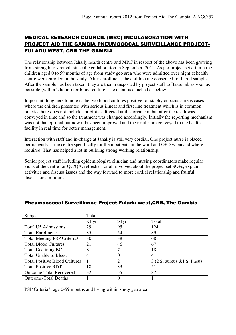#### MEDICAL RESEARCH COUNCIL (MRC) INCOLABORATION WITH PROJECT AID THE GAMBIA PNEUMOCOCAL SURVEILLANCE PROJECT-FULADU WEST, CRR THE GAMBIA

The relationship between Jahally health centre and MRC in respect of the above has been growing from strength to strength since the collaboration in September, 2011. As per project set criteria the children aged 0 to 59 months of age from study geo area who were admitted over night at health centre were enrolled in the study. After enrollment, the children are consented for blood samples. After the sample has been taken, they are then transported by project staff to Basse lab as soon as possible (within 2 hours) for blood culture. The detail is attached as below.

Important thing here to note is the two blood cultures positive for staphylococcus aureus cases where the children presented with serious illness and first line treatment which is in common practice here does not include antibiotics directed at this organism but after the result was conveyed in time and so the treatment was changed accordingly. Initially the reporting mechanism was not that optimal but now it has been improved and the results are conveyed to the health facility in real time for better management.

Interaction with staff and in-charge at Jahally is still very cordial. One project nurse is placed permanently at the centre specifically for the inpatients in the ward and OPD when and where required. That has helped a lot in building strong working relationship.

Senior project staff including epidemiologist, clinician and nursing coordinators make regular visits at the centre for QC/QA, refresher for all involved about the project set SOPs, explain activities and discuss issues and the way forward to more cordial relationship and fruitful discussions in future

| Subject                              | Total           |              |                               |  |  |
|--------------------------------------|-----------------|--------------|-------------------------------|--|--|
|                                      | $<1 \text{ yr}$ | $>1$ yr      | Total                         |  |  |
| <b>Total U5 Admissions</b>           | 29              | 95           | 124                           |  |  |
| <b>Total Enrolments</b>              | 35              | 54           | 89                            |  |  |
| Total Meeting PSP Criteria*          | 30              | 38           | 68                            |  |  |
| <b>Total Blood Cultures</b>          | 21              | 46           | 67                            |  |  |
| <b>Total Declining BC</b>            | 8               | 7            | 18                            |  |  |
| <b>Total Unable to Bleed</b>         | 4               | $\theta$     | 4                             |  |  |
| <b>Total Positive Blood Cultures</b> |                 | 2            | $3$ (2 S. aureus & 1 S. Pneu) |  |  |
| <b>Total Positive RDT</b>            | 18              | 33           | 51                            |  |  |
| <b>Outcome-Total Recovered</b>       | 32              | 55           | 87                            |  |  |
| <b>Outcome-Total Deaths</b>          |                 | $\mathbf{U}$ |                               |  |  |

#### Pheumococcal Surveillance Project-Fuladu west,CRR, The Gambia

PSP Criteria\*: age 0-59 months and living within study geo area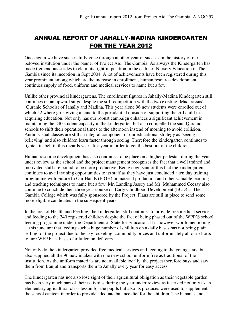### ANNUAL REPORT OF JAHALLY-MADINA KINDERGARTEN FOR THE YEAR 2012

Once again we have successfully gone through another year of success in the history of our beloved institution under the banner of Project Aid, The Gambia. As always the Kindergarten has made tremendous strides to claim its rightful position in the cadre of Nursery Education in The Gambia since its inception in Sept 2004. A lot of achievements have been registered during this year prominent among which are the increase in enrollment, human resource development, continues supply of food, uniform and medical services to name but a few.

Unlike other provincial kindergartens, The enrollment figures in Jahally-Madina Kindergarten still continues on an upward surge despite the stiff competition with the two existing 'Madarassas' (Quranic Schools) of Jahally and Madina. This year alone 96 new students were enrolled out of which 52 where girls giving a hand to the presidential crusade of supporting the girl child in acquiring education. Not only has our robust campaign enhances a significant achievement in maintaining the 240 student capacity in the kindergarten but also compelled the said Quranic schools to shift their operational times to the afternoon instead of morning to avoid collision. Audio-visual classes are still an integral component of our educational strategy as 'seeing is believing' and also children learn faster through seeing. Therefore the kindergarten continues to tighten its belt in this regards year after year in order to get the best out of the children.

Human resource development has also continues to be place on a higher pedestal during the year under review as the school and the project management recognises the fact that a well trained and motivated staff are bound to be more productive. Being cognisant of this fact the kindergarten continues to avail training opportunities to its staff as they have just concluded a ten day training programme with Future In Our Hands (FIOH) in material production and other valuable learning and teaching techniques to name but a few. Mr. Landing Jassey and Mr. Muhammed Ceesay also continue to conclude their three year course on Early Childhood Development (ECD) at The Gambia College which was fully sponsored by the Project. Plans are still in place to send some more eligible candidates in the subsequent years.

In the area of Health and Feeding, the kindergarten still continues to provide free medical services and feeding to the 240 registered children despite the fact of being phased out of the WFP'S school feeding programme under the Department of State for Education. It is however worth mentioning at this juncture that feeding such a huge number of children on a daily bases has not being plain selling for the project due to the sky rocketing commodity prizes and unfortunately all our efforts to lure WFP back has so far fallen on deft ears.

Not only do the kindergarten provided free medical services and feeding to the young stars but also supplied all the 96 new intakes with one new school uniform free as traditional of the institution. As the uniform materials are not available locally, the project therefore buys and saw them from Banjul and transports them to Jahally every year for easy access.

The kindergarten has not also lose sight of their agricultural obligation as their vegetable garden has been very much part of their activities during the year under review as it served not only as an elementary agricultural class lesson for the pupils but also its produces were used to supplement the school canteen in order to provide adequate balance diet for the children. The bananas and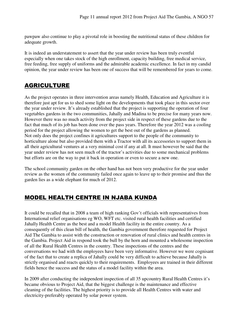pawpaw also continue to play a pivotal role in boosting the nutritional status of these children for adequate growth.

It is indeed an understatement to assert that the year under review has been truly eventful especially when one takes stock of the high enrollment, capacity building, free medical service, free feeding, free supply of uniforms and the admirable academic excellence. In fact in my candid opinion, the year under review has been one of success that will be remembered for years to come.

### AGRICULTURE

As the project operates in three intervention areas namely Health, Education and Agriculture it is therefore just apt for us to shed some light on the developments that took place in this sector over the year under review. It's already established that the project is supporting the operation of four vegetables gardens in the two communities, Jahally and Madina to be precise for many years now. However there was no much activity from the project side in respect of these gardens due to the fact that much of its job has been done over the pass years. Therefore the year 2012 was a cooling period for the project allowing the women to get the best out of the gardens as planned. Not only does the project confines it agricultures support to the people of the community to horticulture alone but also provided them with a Tractor with all its accessories to support them in all their agricultural ventures at a very minimal cost if any at all. It must however be said that the year under review has not seen much of the tractor's activities due to some mechanical problems but efforts are on the way to put it back in operation or even to secure a new one.

The school community garden on the other hand has not been very productive for the year under review as the women of the community failed once again to leave up to their promise and thus the garden lies as a wide elephant for much of 2012.

### MODEL HEALTH CENTRE IN NJABA KUNDA

It could be recalled that in 2008 a team of high ranking Gov't officials with representatives from International relief organisations eg WO, WFT etc. visited rural health facilities and certified Jahally Health Centre as the best and a model Health facility in the entire country. As a consequently of this clean bill of health, the Gambia government therefore requested for Project Aid The Gambia to assist with the construction or renovation of rural clinics and health centres in the Gambia. Project Aid in respond took the bull by the horn and mounted a wholesome inspection of all the Rural Health Centres in the country. These inspections of the centres and the conversations we had with the employees have been very informative. However we were cognisant of the fact that to create a replica of Jahally could be very difficult to achieve because Jahally is strictly organised and reacts quickly to their requirements. Employees are trained in their different fields hence the success and the status of a model facility within the area.

In 2009 after conducting the independent inspection of all 35 upcountry Rural Health Centres it's became obvious to Project Aid, that the biggest challenge is the maintenance and effective cleaning of the facilities. The highest priority is to provide all Health Centres with water and electricity-preferably operated by solar power system.